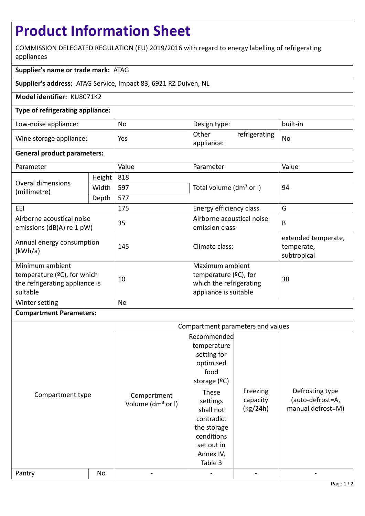# **Product Information Sheet**

COMMISSION DELEGATED REGULATION (EU) 2019/2016 with regard to energy labelling of refrigerating appliances

## **Supplier's name or trade mark:** ATAG

**Supplier's address:** ATAG Service, Impact 83, 6921 RZ Duiven, NL

### **Model identifier:** KU8071K2

### **Type of refrigerating appliance:**

| Low-noise appliance:    | No  | Design type:                         | built-in |
|-------------------------|-----|--------------------------------------|----------|
| Wine storage appliance: | Yes | Other<br>refrigerating<br>appliance: | No       |

#### **General product parameters:**

| Parameter                                                                                       |        | Value | Parameter                                                                                       | Value                                            |  |
|-------------------------------------------------------------------------------------------------|--------|-------|-------------------------------------------------------------------------------------------------|--------------------------------------------------|--|
| Overal dimensions<br>(millimetre)                                                               | Height | 818   |                                                                                                 | 94                                               |  |
|                                                                                                 | Width  | 597   | Total volume (dm <sup>3</sup> or I)                                                             |                                                  |  |
|                                                                                                 | Depth  | 577   |                                                                                                 |                                                  |  |
| EEI                                                                                             |        | 175   | Energy efficiency class                                                                         | G                                                |  |
| Airborne acoustical noise<br>emissions (dB(A) re 1 pW)                                          |        | 35    | Airborne acoustical noise<br>emission class                                                     | B                                                |  |
| Annual energy consumption<br>(kWh/a)                                                            |        | 145   | Climate class:                                                                                  | extended temperate,<br>temperate,<br>subtropical |  |
| Minimum ambient<br>temperature $(2C)$ , for which<br>the refrigerating appliance is<br>suitable |        | 10    | Maximum ambient<br>temperature $(2C)$ , for<br>which the refrigerating<br>appliance is suitable | 38                                               |  |
| Winter setting                                                                                  |        | No    |                                                                                                 |                                                  |  |

#### **Compartment Parameters:**

|                  |    | Compartment parameters and values            |                                                                                                                                  |                                  |                                                          |
|------------------|----|----------------------------------------------|----------------------------------------------------------------------------------------------------------------------------------|----------------------------------|----------------------------------------------------------|
| Compartment type |    | Compartment<br>Volume (dm <sup>3</sup> or I) | Recommended<br>temperature<br>setting for<br>optimised<br>food<br>storage $(°C)$<br>These<br>settings<br>shall not<br>contradict | Freezing<br>capacity<br>(kg/24h) | Defrosting type<br>(auto-defrost=A,<br>manual defrost=M) |
|                  |    |                                              | the storage<br>conditions<br>set out in<br>Annex IV,<br>Table 3                                                                  |                                  |                                                          |
| Pantry           | No |                                              |                                                                                                                                  |                                  |                                                          |